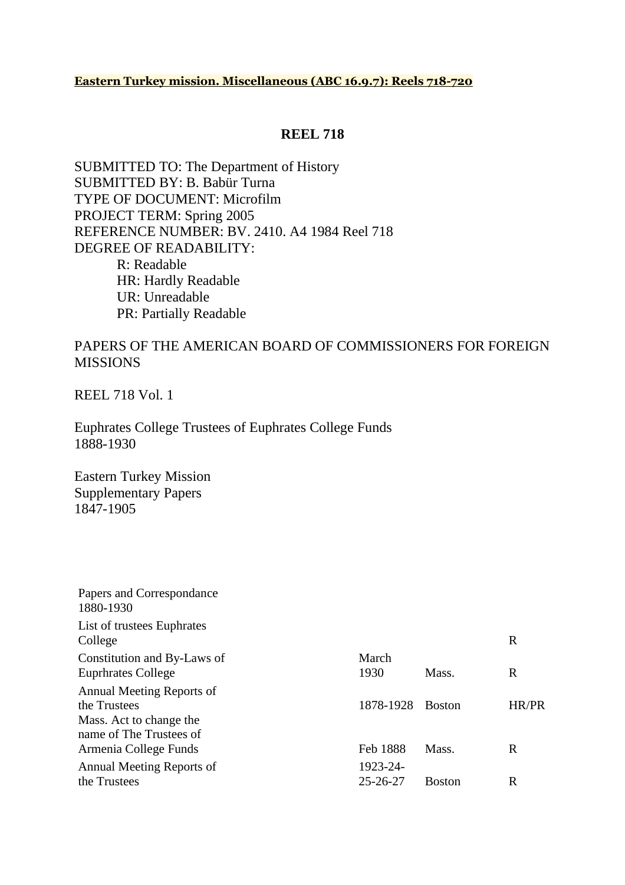#### **Eastern Turkey mission. Miscellaneous (ABC 16.9.7): Reels 718-720**

### **REEL 718**

SUBMITTED TO: The Department of History SUBMITTED BY: B. Babür Turna TYPE OF DOCUMENT: Microfilm PROJECT TERM: Spring 2005 REFERENCE NUMBER: BV. 2410. A4 1984 Reel 718 DEGREE OF READABILITY: R: Readable HR: Hardly Readable UR: Unreadable PR: Partially Readable

### PAPERS OF THE AMERICAN BOARD OF COMMISSIONERS FOR FOREIGN MISSIONS

REEL 718 Vol. 1

Euphrates College Trustees of Euphrates College Funds 1888-1930

Eastern Turkey Mission Supplementary Papers 1847-1905

| Papers and Correspondance<br>1880-1930                                                          |                            |               |       |
|-------------------------------------------------------------------------------------------------|----------------------------|---------------|-------|
| List of trustees Euphrates<br>College                                                           |                            |               | R     |
| Constitution and By-Laws of                                                                     | March                      |               |       |
| <b>Euprhrates College</b>                                                                       | 1930                       | Mass.         | R     |
| Annual Meeting Reports of<br>the Trustees<br>Mass. Act to change the<br>name of The Trustees of | 1878-1928                  | <b>Boston</b> | HR/PR |
| Armenia College Funds                                                                           | Feb 1888                   | Mass.         | R     |
| Annual Meeting Reports of<br>the Trustees                                                       | 1923-24-<br>$25 - 26 - 27$ | <b>Boston</b> | R     |
|                                                                                                 |                            |               |       |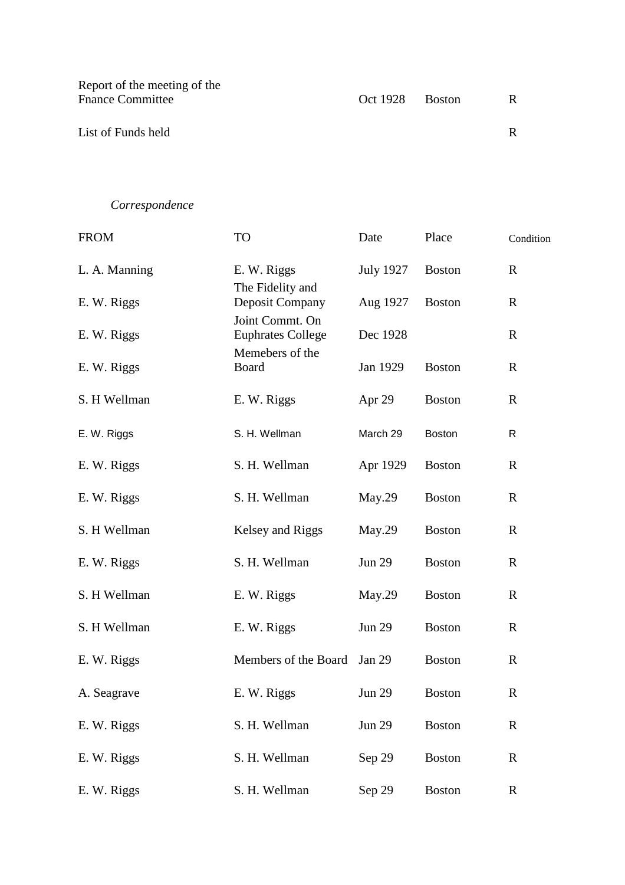| Report of the meeting of the |                 |  |
|------------------------------|-----------------|--|
| <b>Fnance Committee</b>      | Oct 1928 Boston |  |
|                              |                 |  |
| List of Funds held           |                 |  |
|                              |                 |  |

# *Correspondence*

| <b>FROM</b>   | TO                                          | Date             | Place         | Condition    |
|---------------|---------------------------------------------|------------------|---------------|--------------|
| L. A. Manning | E. W. Riggs                                 | <b>July 1927</b> | <b>Boston</b> | $\mathbf R$  |
| E. W. Riggs   | The Fidelity and<br>Deposit Company         | Aug 1927         | <b>Boston</b> | $\mathbf R$  |
| E. W. Riggs   | Joint Commt. On<br><b>Euphrates College</b> | Dec 1928         |               | $\mathbf R$  |
| E. W. Riggs   | Memebers of the<br><b>Board</b>             | Jan 1929         | <b>Boston</b> | $\mathbf R$  |
| S. H Wellman  | E. W. Riggs                                 | Apr 29           | <b>Boston</b> | $\mathbf R$  |
| E. W. Riggs   | S. H. Wellman                               | March 29         | <b>Boston</b> | R            |
| E. W. Riggs   | S. H. Wellman                               | Apr 1929         | <b>Boston</b> | $\mathbf R$  |
| E. W. Riggs   | S. H. Wellman                               | May.29           | <b>Boston</b> | $\mathbb{R}$ |
| S. H Wellman  | Kelsey and Riggs                            | May.29           | <b>Boston</b> | $\mathbb{R}$ |
| E. W. Riggs   | S. H. Wellman                               | <b>Jun 29</b>    | <b>Boston</b> | $\mathbf R$  |
| S. H Wellman  | E. W. Riggs                                 | May.29           | <b>Boston</b> | $\mathbf R$  |
| S. H Wellman  | E. W. Riggs                                 | <b>Jun 29</b>    | <b>Boston</b> | $\mathbb{R}$ |
| E. W. Riggs   | Members of the Board                        | <b>Jan 29</b>    | <b>Boston</b> | $\mathbf R$  |
| A. Seagrave   | E. W. Riggs                                 | <b>Jun 29</b>    | <b>Boston</b> | $\mathbb{R}$ |
| E. W. Riggs   | S. H. Wellman                               | <b>Jun 29</b>    | <b>Boston</b> | $\mathbf R$  |
| E. W. Riggs   | S. H. Wellman                               | Sep 29           | <b>Boston</b> | $\mathbf R$  |
| E. W. Riggs   | S. H. Wellman                               | Sep 29           | <b>Boston</b> | $\mathbf R$  |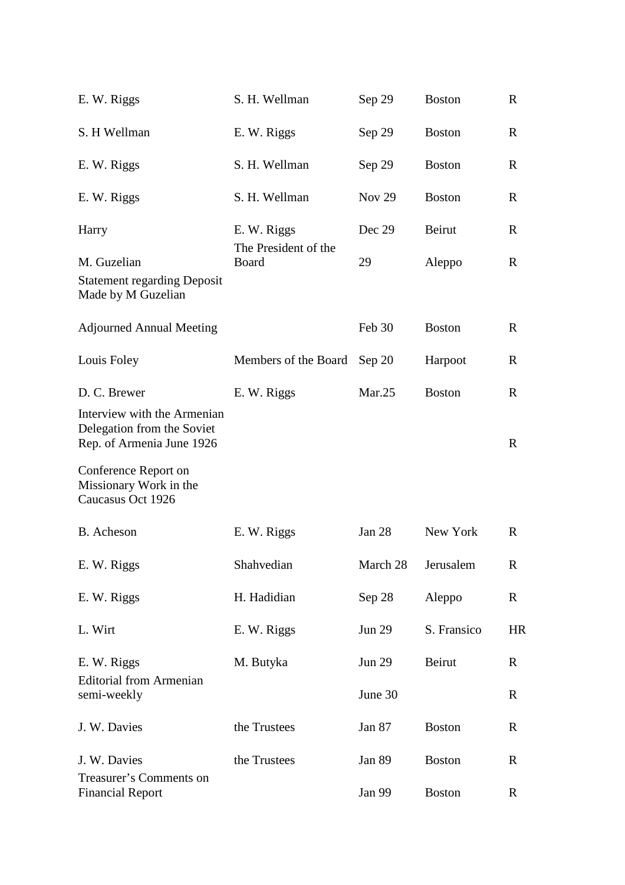| E. W. Riggs                                                                            | S. H. Wellman                 | Sep 29        | <b>Boston</b> | R           |
|----------------------------------------------------------------------------------------|-------------------------------|---------------|---------------|-------------|
| S. H Wellman                                                                           | E. W. Riggs                   | Sep 29        | <b>Boston</b> | R           |
| E. W. Riggs                                                                            | S. H. Wellman                 | Sep 29        | <b>Boston</b> | $\mathbf R$ |
| E. W. Riggs                                                                            | S. H. Wellman                 | <b>Nov 29</b> | <b>Boston</b> | R           |
| Harry                                                                                  | E. W. Riggs                   | Dec 29        | Beirut        | R           |
| M. Guzelian                                                                            | The President of the<br>Board | 29            | Aleppo        | R           |
| <b>Statement regarding Deposit</b><br>Made by M Guzelian                               |                               |               |               |             |
| <b>Adjourned Annual Meeting</b>                                                        |                               | Feb 30        | <b>Boston</b> | R           |
| Louis Foley                                                                            | Members of the Board          | Sep 20        | Harpoot       | R           |
| D. C. Brewer                                                                           | E. W. Riggs                   | Mar.25        | <b>Boston</b> | $\mathbf R$ |
| Interview with the Armenian<br>Delegation from the Soviet<br>Rep. of Armenia June 1926 |                               |               |               | $\mathbf R$ |
| Conference Report on<br>Missionary Work in the<br>Caucasus Oct 1926                    |                               |               |               |             |
| B. Acheson                                                                             | E. W. Riggs                   | Jan $28$      | New York      | $\mathbf R$ |
| E. W. Riggs                                                                            | Shahvedian                    | March 28      | Jerusalem     | R           |
| E. W. Riggs                                                                            | H. Hadidian                   | Sep 28        | Aleppo        | R           |
| L. Wirt                                                                                | E. W. Riggs                   | <b>Jun 29</b> | S. Fransico   | <b>HR</b>   |
| E. W. Riggs                                                                            | M. Butyka                     | <b>Jun 29</b> | Beirut        | R           |
| <b>Editorial from Armenian</b><br>semi-weekly                                          |                               | June 30       |               | R           |
| J. W. Davies                                                                           | the Trustees                  | Jan 87        | <b>Boston</b> | R           |
| J. W. Davies                                                                           | the Trustees                  | <b>Jan 89</b> | <b>Boston</b> | R           |
| Treasurer's Comments on<br><b>Financial Report</b>                                     |                               | Jan 99        | <b>Boston</b> | R           |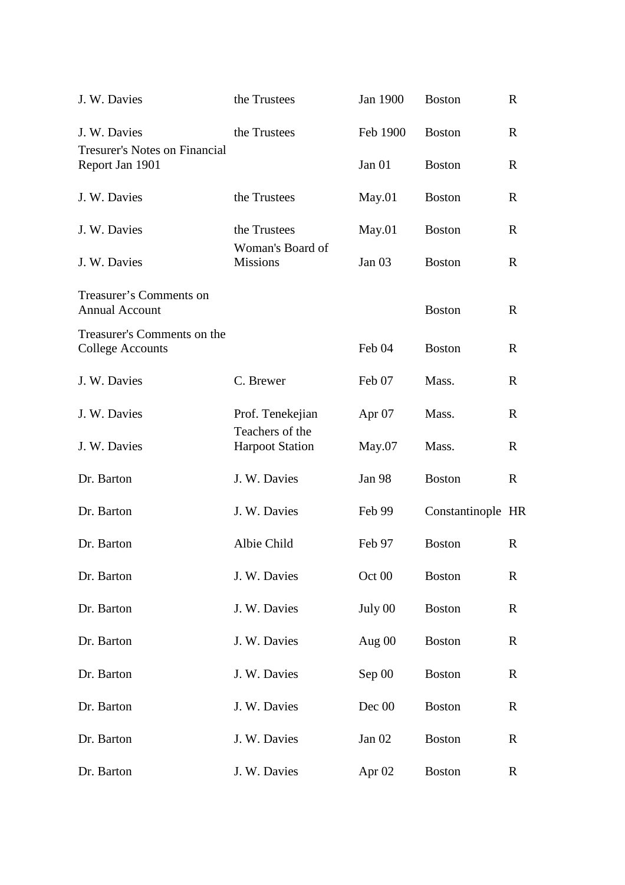| J. W. Davies                                            | the Trustees                        | Jan 1900          | <b>Boston</b>     | $\mathbf R$  |
|---------------------------------------------------------|-------------------------------------|-------------------|-------------------|--------------|
| J. W. Davies                                            | the Trustees                        | Feb 1900          | <b>Boston</b>     | $\mathbf R$  |
| <b>Tresurer's Notes on Financial</b><br>Report Jan 1901 |                                     | Jan $01$          | <b>Boston</b>     | $\mathbf{R}$ |
| J. W. Davies                                            | the Trustees                        | May.01            | <b>Boston</b>     | R            |
| J. W. Davies                                            | the Trustees                        | May.01            | <b>Boston</b>     | $\mathbf R$  |
| J. W. Davies                                            | Woman's Board of<br><b>Missions</b> | Jan $03$          | <b>Boston</b>     | $\mathbf R$  |
| Treasurer's Comments on<br><b>Annual Account</b>        |                                     |                   | <b>Boston</b>     | $\mathbf{R}$ |
| Treasurer's Comments on the<br><b>College Accounts</b>  |                                     | Feb 04            | <b>Boston</b>     | R            |
| J. W. Davies                                            | C. Brewer                           | Feb 07            | Mass.             | $\mathbf R$  |
| J. W. Davies                                            | Prof. Tenekejian<br>Teachers of the | Apr $07$          | Mass.             | $\mathbf R$  |
| J. W. Davies                                            | <b>Harpoot Station</b>              | May.07            | Mass.             | $\mathbf R$  |
| Dr. Barton                                              | J. W. Davies                        | Jan 98            | <b>Boston</b>     | $\mathbf R$  |
| Dr. Barton                                              | J. W. Davies                        | Feb 99            | Constantinople HR |              |
| Dr. Barton                                              | Albie Child                         | Feb 97            | <b>Boston</b>     | $\mathbf R$  |
| Dr. Barton                                              | J. W. Davies                        | Oct 00            | <b>Boston</b>     | $\mathbf R$  |
| Dr. Barton                                              | J. W. Davies                        | July 00           | <b>Boston</b>     | $\mathbf R$  |
| Dr. Barton                                              | J. W. Davies                        | Aug $00$          | <b>Boston</b>     | $\mathbf R$  |
| Dr. Barton                                              | J. W. Davies                        | Sep 00            | <b>Boston</b>     | $\mathbf R$  |
| Dr. Barton                                              | J. W. Davies                        | Dec 00            | <b>Boston</b>     | $\mathbf R$  |
| Dr. Barton                                              | J. W. Davies                        | Jan 02            | <b>Boston</b>     | $\mathbf R$  |
| Dr. Barton                                              | J. W. Davies                        | Apr <sub>02</sub> | <b>Boston</b>     | $\mathbf R$  |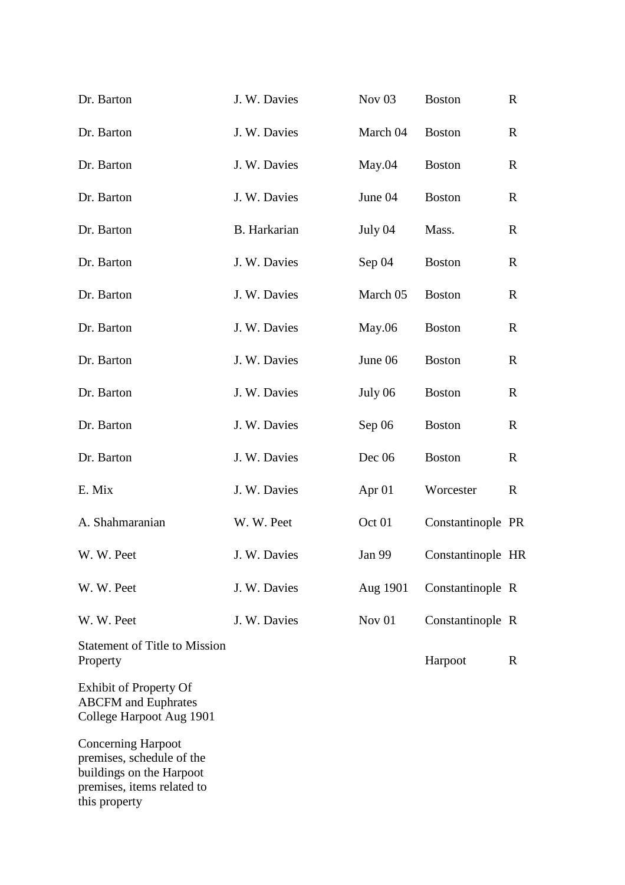| Dr. Barton                                                                              | J. W. Davies | Nov <sub>03</sub> | <b>Boston</b>     | $\mathbf R$ |
|-----------------------------------------------------------------------------------------|--------------|-------------------|-------------------|-------------|
| Dr. Barton                                                                              | J. W. Davies | March 04          | <b>Boston</b>     | $\mathbf R$ |
| Dr. Barton                                                                              | J. W. Davies | May.04            | <b>Boston</b>     | $\mathbf R$ |
| Dr. Barton                                                                              | J. W. Davies | June 04           | <b>Boston</b>     | $\mathbf R$ |
| Dr. Barton                                                                              | B. Harkarian | July 04           | Mass.             | $\mathbf R$ |
| Dr. Barton                                                                              | J. W. Davies | Sep 04            | <b>Boston</b>     | $\mathbf R$ |
| Dr. Barton                                                                              | J. W. Davies | March 05          | <b>Boston</b>     | $\mathbf R$ |
| Dr. Barton                                                                              | J. W. Davies | May.06            | <b>Boston</b>     | $\mathbf R$ |
| Dr. Barton                                                                              | J. W. Davies | June 06           | <b>Boston</b>     | $\mathbf R$ |
| Dr. Barton                                                                              | J. W. Davies | July 06           | <b>Boston</b>     | $\mathbf R$ |
| Dr. Barton                                                                              | J. W. Davies | Sep 06            | <b>Boston</b>     | $\mathbf R$ |
| Dr. Barton                                                                              | J. W. Davies | Dec 06            | <b>Boston</b>     | $\mathbf R$ |
| E. Mix                                                                                  | J. W. Davies | Apr <sub>01</sub> | Worcester         | $\mathbf R$ |
| A. Shahmaranian                                                                         | W. W. Peet   | Oct 01            | Constantinople PR |             |
| W. W. Peet                                                                              | J. W. Davies | Jan 99            | Constantinople HR |             |
| W. W. Peet                                                                              | J. W. Davies | Aug 1901          | Constantinople R  |             |
| W. W. Peet                                                                              | J. W. Davies | Nov 01            | Constantinople R  |             |
| <b>Statement of Title to Mission</b><br>Property                                        |              |                   | Harpoot           | R           |
| <b>Exhibit of Property Of</b><br><b>ABCFM</b> and Euphrates<br>College Harpoot Aug 1901 |              |                   |                   |             |
| <b>Concerning Harpoot</b><br>premises, schedule of the<br>buildings on the Harpoot      |              |                   |                   |             |

premises, items related to

this property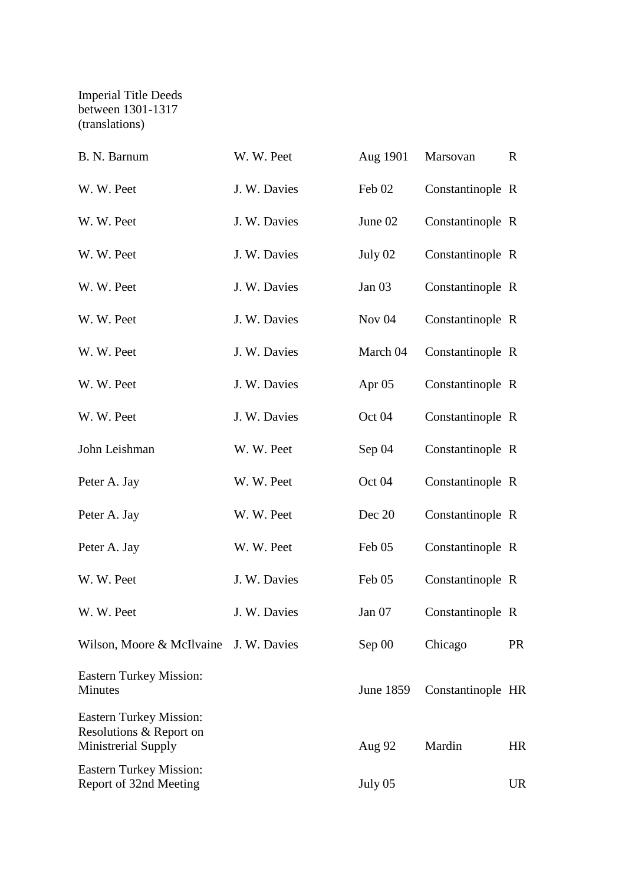### Imperial Title Deeds between 1301-1317 (translations)

| B. N. Barnum                                                                     | W. W. Peet   | Aug 1901          | Marsovan          | $\mathbf R$ |
|----------------------------------------------------------------------------------|--------------|-------------------|-------------------|-------------|
| W. W. Peet                                                                       | J. W. Davies | Feb 02            | Constantinople R  |             |
| W. W. Peet                                                                       | J. W. Davies | June 02           | Constantinople R  |             |
| W. W. Peet                                                                       | J. W. Davies | July 02           | Constantinople R  |             |
| W. W. Peet                                                                       | J. W. Davies | Jan $03$          | Constantinople R  |             |
| W. W. Peet                                                                       | J. W. Davies | Nov <sub>04</sub> | Constantinople R  |             |
| W. W. Peet                                                                       | J. W. Davies | March 04          | Constantinople R  |             |
| W. W. Peet                                                                       | J. W. Davies | Apr $05$          | Constantinople R  |             |
| W. W. Peet                                                                       | J. W. Davies | Oct 04            | Constantinople R  |             |
| John Leishman                                                                    | W. W. Peet   | Sep 04            | Constantinople R  |             |
| Peter A. Jay                                                                     | W. W. Peet   | Oct 04            | Constantinople R  |             |
| Peter A. Jay                                                                     | W. W. Peet   | Dec 20            | Constantinople R  |             |
| Peter A. Jay                                                                     | W. W. Peet   | Feb 05            | Constantinople R  |             |
| W. W. Peet                                                                       | J. W. Davies | Feb 05            | Constantinople R  |             |
| W. W. Peet                                                                       | J. W. Davies | Jan 07            | Constantinople R  |             |
| Wilson, Moore & McIlvaine J. W. Davies                                           |              | Sep 00            | Chicago           | <b>PR</b>   |
| <b>Eastern Turkey Mission:</b><br><b>Minutes</b>                                 |              | June 1859         | Constantinople HR |             |
| <b>Eastern Turkey Mission:</b><br>Resolutions & Report on<br>Ministrerial Supply |              | Aug 92            | Mardin            | HR          |
| <b>Eastern Turkey Mission:</b><br>Report of 32nd Meeting                         |              | July 05           |                   | <b>UR</b>   |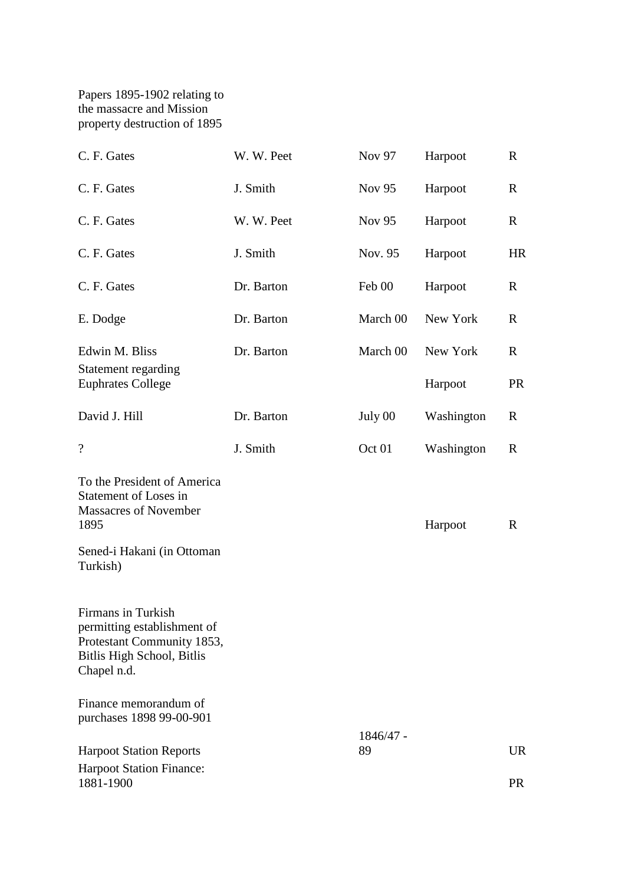Papers 1895-1902 relating to the massacre and Mission property destruction of 1895

| C. F. Gates                                                                                                                         | W. W. Peet | Nov 97        | Harpoot    | $\mathbf R$ |
|-------------------------------------------------------------------------------------------------------------------------------------|------------|---------------|------------|-------------|
| C. F. Gates                                                                                                                         | J. Smith   | <b>Nov 95</b> | Harpoot    | $\mathbf R$ |
| C. F. Gates                                                                                                                         | W. W. Peet | Nov 95        | Harpoot    | $\mathbf R$ |
| C. F. Gates                                                                                                                         | J. Smith   | Nov. 95       | Harpoot    | <b>HR</b>   |
| C. F. Gates                                                                                                                         | Dr. Barton | Feb 00        | Harpoot    | $\mathbf R$ |
| E. Dodge                                                                                                                            | Dr. Barton | March 00      | New York   | $\mathbf R$ |
| Edwin M. Bliss                                                                                                                      | Dr. Barton | March 00      | New York   | $\mathbf R$ |
| Statement regarding<br><b>Euphrates College</b>                                                                                     |            |               | Harpoot    | <b>PR</b>   |
| David J. Hill                                                                                                                       | Dr. Barton | July 00       | Washington | $\mathbf R$ |
| $\overline{\mathcal{L}}$                                                                                                            | J. Smith   | Oct 01        | Washington | $\mathbf R$ |
| To the President of America<br>Statement of Loses in<br><b>Massacres of November</b><br>1895<br>Sened-i Hakani (in Ottoman          |            |               | Harpoot    | R           |
| Turkish)                                                                                                                            |            |               |            |             |
| <b>Firmans</b> in Turkish<br>permitting establishment of<br>Protestant Community 1853,<br>Bitlis High School, Bitlis<br>Chapel n.d. |            |               |            |             |
| Finance memorandum of<br>purchases 1898 99-00-901                                                                                   |            |               |            |             |
|                                                                                                                                     |            | 1846/47 -     |            |             |
| <b>Harpoot Station Reports</b>                                                                                                      |            | 89            |            | <b>UR</b>   |
| <b>Harpoot Station Finance:</b><br>1881-1900                                                                                        |            |               |            | <b>PR</b>   |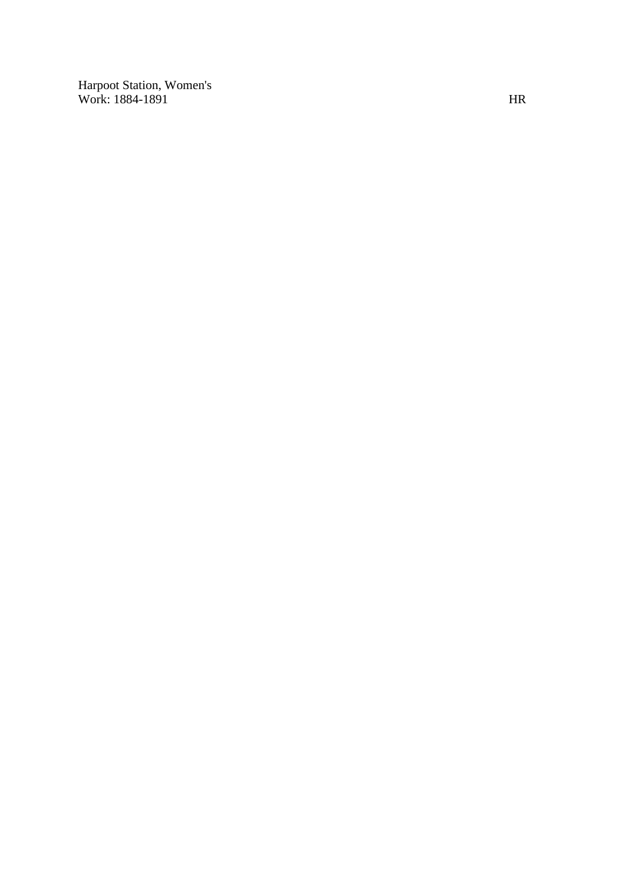Harpoot Station, Women's Work: 1884-1891 HR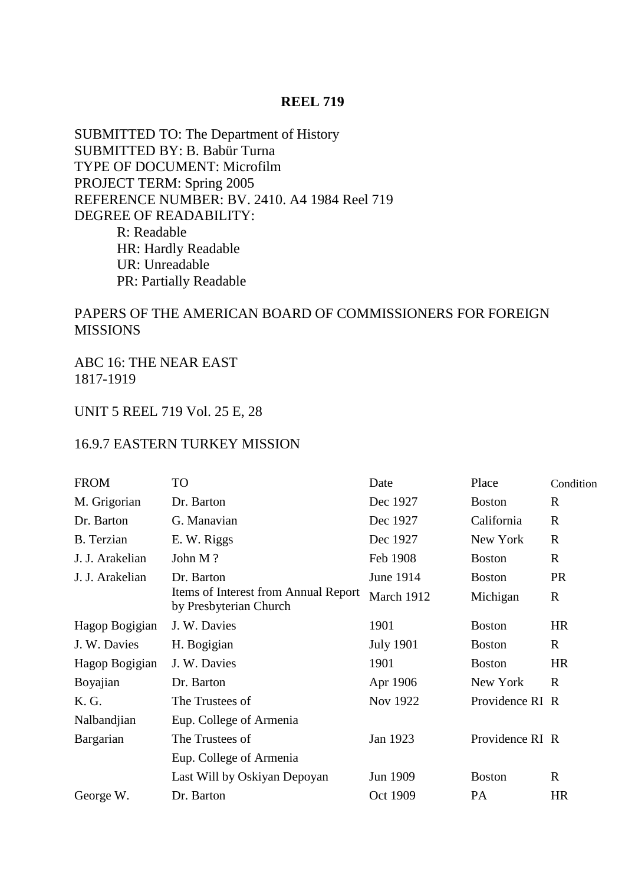### **REEL 719**

SUBMITTED TO: The Department of History SUBMITTED BY: B. Babür Turna TYPE OF DOCUMENT: Microfilm PROJECT TERM: Spring 2005 REFERENCE NUMBER: BV. 2410. A4 1984 Reel 719 DEGREE OF READABILITY: R: Readable HR: Hardly Readable UR: Unreadable PR: Partially Readable

### PAPERS OF THE AMERICAN BOARD OF COMMISSIONERS FOR FOREIGN **MISSIONS**

ABC 16: THE NEAR EAST 1817-1919

### UNIT 5 REEL 719 Vol. 25 E, 28

#### 16.9.7 EASTERN TURKEY MISSION

| <b>FROM</b>       | TO                                                             | Date             | Place           | Condition    |
|-------------------|----------------------------------------------------------------|------------------|-----------------|--------------|
| M. Grigorian      | Dr. Barton                                                     | Dec 1927         | <b>Boston</b>   | $\mathbf R$  |
| Dr. Barton        | G. Manavian                                                    | Dec 1927         | California      | $\mathbf R$  |
| <b>B.</b> Terzian | E. W. Riggs                                                    | Dec 1927         | New York        | $\mathbb{R}$ |
| J. J. Arakelian   | John M?                                                        | Feb 1908         | <b>Boston</b>   | $\mathbb{R}$ |
| J. J. Arakelian   | Dr. Barton                                                     | June 1914        | <b>Boston</b>   | <b>PR</b>    |
|                   | Items of Interest from Annual Report<br>by Presbyterian Church | March 1912       | Michigan        | $\mathbf R$  |
| Hagop Bogigian    | J. W. Davies                                                   | 1901             | <b>Boston</b>   | <b>HR</b>    |
| J. W. Davies      | H. Bogigian                                                    | <b>July 1901</b> | <b>Boston</b>   | $\mathbb{R}$ |
| Hagop Bogigian    | J. W. Davies                                                   | 1901             | <b>Boston</b>   | <b>HR</b>    |
| Boyajian          | Dr. Barton                                                     | Apr 1906         | New York        | $\mathbf R$  |
| K. G.             | The Trustees of                                                | Nov 1922         | Providence RI R |              |
| Nalbandjian       | Eup. College of Armenia                                        |                  |                 |              |
| Bargarian         | The Trustees of                                                | Jan 1923         | Providence RI R |              |
|                   | Eup. College of Armenia                                        |                  |                 |              |
|                   | Last Will by Oskiyan Depoyan                                   | Jun 1909         | <b>Boston</b>   | $\mathbf R$  |
| George W.         | Dr. Barton                                                     | Oct 1909         | PA              | <b>HR</b>    |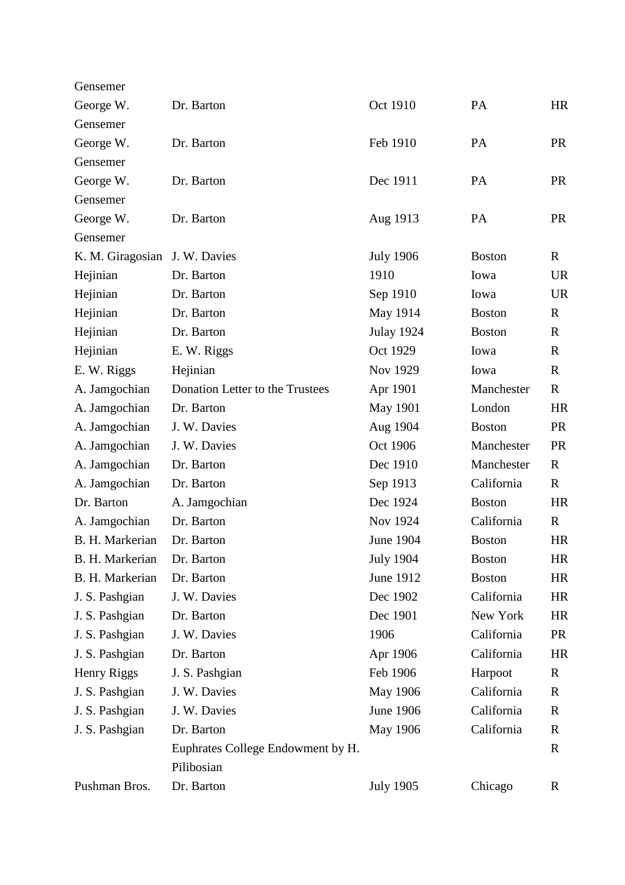| Gensemer                      |                                   |                   |               |              |
|-------------------------------|-----------------------------------|-------------------|---------------|--------------|
| George W.                     | Dr. Barton                        | Oct 1910          | PA            | <b>HR</b>    |
| Gensemer                      |                                   |                   |               |              |
| George W.                     | Dr. Barton                        | Feb 1910          | PA            | <b>PR</b>    |
| Gensemer                      |                                   |                   |               |              |
| George W.                     | Dr. Barton                        | Dec 1911          | PA            | <b>PR</b>    |
| Gensemer                      |                                   |                   |               |              |
| George W.                     | Dr. Barton                        | Aug 1913          | PA            | <b>PR</b>    |
| Gensemer                      |                                   |                   |               |              |
| K. M. Giragosian J. W. Davies |                                   | <b>July 1906</b>  | <b>Boston</b> | $\mathbf R$  |
| Hejinian                      | Dr. Barton                        | 1910              | Iowa          | <b>UR</b>    |
| Hejinian                      | Dr. Barton                        | Sep 1910          | Iowa          | <b>UR</b>    |
| Hejinian                      | Dr. Barton                        | May 1914          | <b>Boston</b> | $\mathbf R$  |
| Hejinian                      | Dr. Barton                        | <b>Julay 1924</b> | <b>Boston</b> | $\mathbf R$  |
| Hejinian                      | E. W. Riggs                       | Oct 1929          | Iowa          | $\mathbf R$  |
| E. W. Riggs                   | Hejinian                          | Nov 1929          | Iowa          | $\mathbb{R}$ |
| A. Jamgochian                 | Donation Letter to the Trustees   | Apr 1901          | Manchester    | $\mathbf R$  |
| A. Jamgochian                 | Dr. Barton                        | <b>May 1901</b>   | London        | <b>HR</b>    |
| A. Jamgochian                 | J. W. Davies                      | Aug 1904          | <b>Boston</b> | <b>PR</b>    |
| A. Jamgochian                 | J. W. Davies                      | Oct 1906          | Manchester    | <b>PR</b>    |
| A. Jamgochian                 | Dr. Barton                        | Dec 1910          | Manchester    | $\mathbf{R}$ |
| A. Jamgochian                 | Dr. Barton                        | Sep 1913          | California    | $\mathbf R$  |
| Dr. Barton                    | A. Jamgochian                     | Dec 1924          | <b>Boston</b> | <b>HR</b>    |
| A. Jamgochian                 | Dr. Barton                        | Nov 1924          | California    | $\mathbf R$  |
| B. H. Markerian               | Dr. Barton                        | June 1904         | <b>Boston</b> | <b>HR</b>    |
| B. H. Markerian               | Dr. Barton                        | <b>July 1904</b>  | <b>Boston</b> | HR           |
| B. H. Markerian               | Dr. Barton                        | June 1912         | <b>Boston</b> | HR           |
| J. S. Pashgian                | J. W. Davies                      | Dec 1902          | California    | <b>HR</b>    |
| J. S. Pashgian                | Dr. Barton                        | Dec 1901          | New York      | HR           |
| J. S. Pashgian                | J. W. Davies                      | 1906              | California    | <b>PR</b>    |
| J. S. Pashgian                | Dr. Barton                        | Apr 1906          | California    | HR           |
| Henry Riggs                   | J. S. Pashgian                    | Feb 1906          | Harpoot       | R            |
| J. S. Pashgian                | J. W. Davies                      | May 1906          | California    | R            |
| J. S. Pashgian                | J. W. Davies                      | <b>June 1906</b>  | California    | R            |
| J. S. Pashgian                | Dr. Barton                        | May 1906          | California    | R            |
|                               | Euphrates College Endowment by H. |                   |               | $\mathbf R$  |
|                               | Pilibosian                        |                   |               |              |
| Pushman Bros.                 | Dr. Barton                        | <b>July 1905</b>  | Chicago       | R            |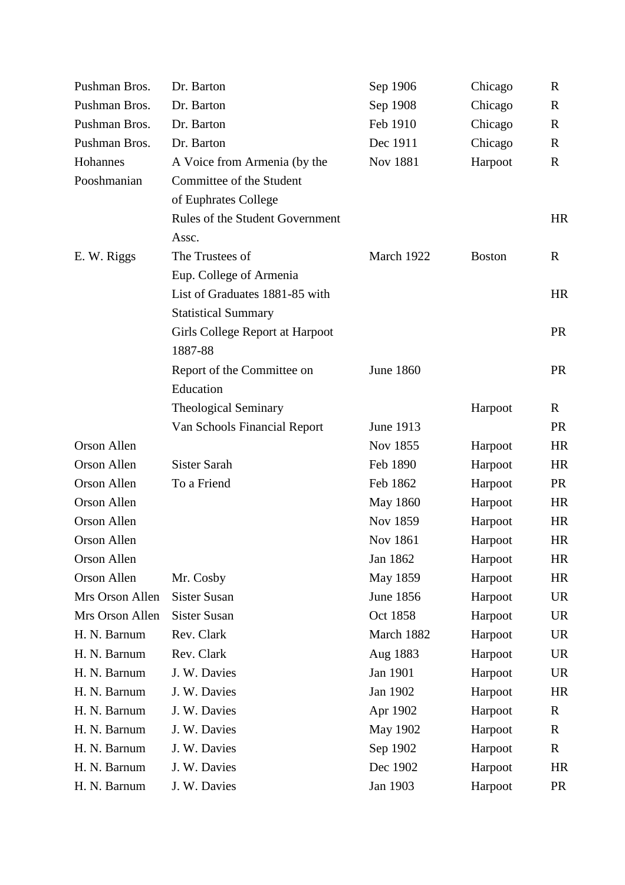| Pushman Bros.      | Dr. Barton                      | Sep 1906         | Chicago       | $\mathbb{R}$ |
|--------------------|---------------------------------|------------------|---------------|--------------|
| Pushman Bros.      | Dr. Barton                      | Sep 1908         | Chicago       | $\mathbf R$  |
| Pushman Bros.      | Dr. Barton                      | Feb 1910         | Chicago       | R            |
| Pushman Bros.      | Dr. Barton                      | Dec 1911         | Chicago       | $\mathbf R$  |
| Hohannes           | A Voice from Armenia (by the    | Nov 1881         | Harpoot       | $\mathbf R$  |
| Pooshmanian        | Committee of the Student        |                  |               |              |
|                    | of Euphrates College            |                  |               |              |
|                    | Rules of the Student Government |                  |               | <b>HR</b>    |
|                    | Assc.                           |                  |               |              |
| E. W. Riggs        | The Trustees of                 | March 1922       | <b>Boston</b> | $\mathbb{R}$ |
|                    | Eup. College of Armenia         |                  |               |              |
|                    | List of Graduates 1881-85 with  |                  |               | <b>HR</b>    |
|                    | <b>Statistical Summary</b>      |                  |               |              |
|                    | Girls College Report at Harpoot |                  |               | <b>PR</b>    |
|                    | 1887-88                         |                  |               |              |
|                    | Report of the Committee on      | <b>June 1860</b> |               | <b>PR</b>    |
|                    | Education                       |                  |               |              |
|                    | <b>Theological Seminary</b>     |                  | Harpoot       | $\mathbf R$  |
|                    | Van Schools Financial Report    | June 1913        |               | <b>PR</b>    |
| <b>Orson Allen</b> |                                 | Nov 1855         | Harpoot       | <b>HR</b>    |
| Orson Allen        | Sister Sarah                    | Feb 1890         | Harpoot       | <b>HR</b>    |
| Orson Allen        | To a Friend                     | Feb 1862         | Harpoot       | <b>PR</b>    |
| Orson Allen        |                                 | May 1860         | Harpoot       | <b>HR</b>    |
| Orson Allen        |                                 | Nov 1859         | Harpoot       | <b>HR</b>    |
| Orson Allen        |                                 | <b>Nov 1861</b>  | Harpoot       | <b>HR</b>    |
| Orson Allen        |                                 | Jan 1862         | Harpoot       | <b>HR</b>    |
| <b>Orson Allen</b> | Mr. Cosby                       | May 1859         | Harpoot       | <b>HR</b>    |
| Mrs Orson Allen    | Sister Susan                    | <b>June 1856</b> | Harpoot       | <b>UR</b>    |
| Mrs Orson Allen    | <b>Sister Susan</b>             | Oct 1858         | Harpoot       | <b>UR</b>    |
| H. N. Barnum       | Rev. Clark                      | March 1882       | Harpoot       | <b>UR</b>    |
| H. N. Barnum       | Rev. Clark                      | Aug 1883         | Harpoot       | <b>UR</b>    |
| H. N. Barnum       | J. W. Davies                    | Jan 1901         | Harpoot       | <b>UR</b>    |
| H. N. Barnum       | J. W. Davies                    | Jan 1902         | Harpoot       | HR           |
| H. N. Barnum       | J. W. Davies                    | Apr 1902         | Harpoot       | R            |
| H. N. Barnum       | J. W. Davies                    | May 1902         | Harpoot       | R            |
| H. N. Barnum       | J. W. Davies                    | Sep 1902         | Harpoot       | R            |
| H. N. Barnum       | J. W. Davies                    | Dec 1902         | Harpoot       | <b>HR</b>    |
| H. N. Barnum       | J. W. Davies                    | Jan 1903         | Harpoot       | PR           |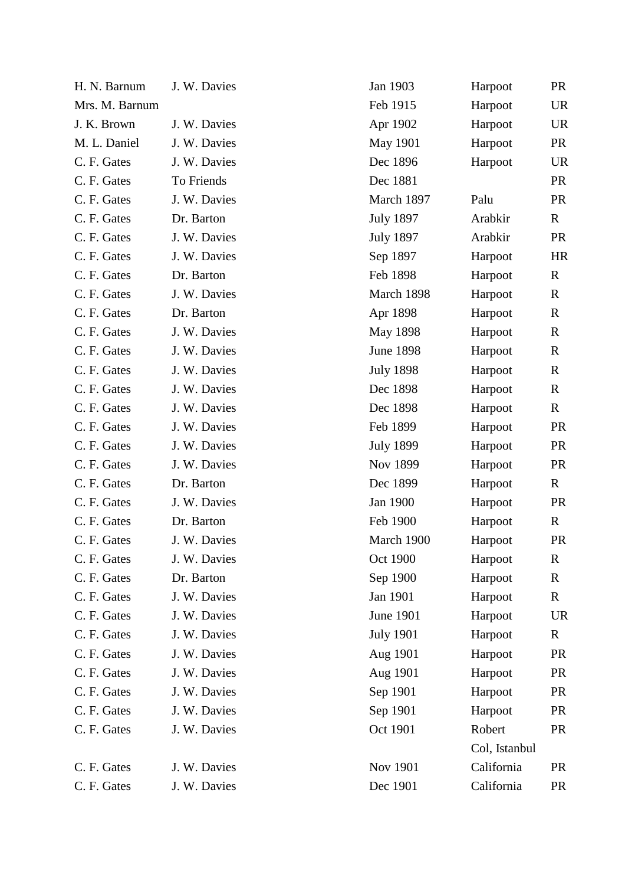| H. N. Barnum   | J. W. Davies | Jan 1903         | Harpoot       | <b>PR</b>    |
|----------------|--------------|------------------|---------------|--------------|
| Mrs. M. Barnum |              | Feb 1915         | Harpoot       | <b>UR</b>    |
| J. K. Brown    | J. W. Davies | Apr 1902         | Harpoot       | <b>UR</b>    |
| M. L. Daniel   | J. W. Davies | May 1901         | Harpoot       | <b>PR</b>    |
| C. F. Gates    | J. W. Davies | Dec 1896         | Harpoot       | <b>UR</b>    |
| C. F. Gates    | To Friends   | Dec 1881         |               | <b>PR</b>    |
| C. F. Gates    | J. W. Davies | March 1897       | Palu          | <b>PR</b>    |
| C. F. Gates    | Dr. Barton   | <b>July 1897</b> | Arabkir       | $\mathbf{R}$ |
| C. F. Gates    | J. W. Davies | <b>July 1897</b> | Arabkir       | <b>PR</b>    |
| C. F. Gates    | J. W. Davies | Sep 1897         | Harpoot       | <b>HR</b>    |
| C. F. Gates    | Dr. Barton   | Feb 1898         | Harpoot       | $\mathbf R$  |
| C. F. Gates    | J. W. Davies | March 1898       | Harpoot       | $\mathbf R$  |
| C. F. Gates    | Dr. Barton   | Apr 1898         | Harpoot       | $\mathbf R$  |
| C. F. Gates    | J. W. Davies | May 1898         | Harpoot       | $\mathbf R$  |
| C. F. Gates    | J. W. Davies | <b>June 1898</b> | Harpoot       | $\mathbf R$  |
| C. F. Gates    | J. W. Davies | <b>July 1898</b> | Harpoot       | $\mathbf R$  |
| C. F. Gates    | J. W. Davies | Dec 1898         | Harpoot       | $\mathbf R$  |
| C. F. Gates    | J. W. Davies | Dec 1898         | Harpoot       | $\mathbf R$  |
| C. F. Gates    | J. W. Davies | Feb 1899         | Harpoot       | <b>PR</b>    |
| C. F. Gates    | J. W. Davies | <b>July 1899</b> | Harpoot       | <b>PR</b>    |
| C. F. Gates    | J. W. Davies | Nov 1899         | Harpoot       | <b>PR</b>    |
| C. F. Gates    | Dr. Barton   | Dec 1899         | Harpoot       | $\mathbf{R}$ |
| C. F. Gates    | J. W. Davies | Jan 1900         | Harpoot       | <b>PR</b>    |
| C. F. Gates    | Dr. Barton   | Feb 1900         | Harpoot       | $\mathbf{R}$ |
| C. F. Gates    | J. W. Davies | March 1900       | Harpoot       | <b>PR</b>    |
| C. F. Gates    | J. W. Davies | Oct 1900         | Harpoot       | $\mathbf R$  |
| C. F. Gates    | Dr. Barton   | Sep 1900         | Harpoot       | $\mathbf R$  |
| C. F. Gates    | J. W. Davies | Jan 1901         | Harpoot       | R            |
| C. F. Gates    | J. W. Davies | June 1901        | Harpoot       | <b>UR</b>    |
| C. F. Gates    | J. W. Davies | <b>July 1901</b> | Harpoot       | $\mathbf R$  |
| C. F. Gates    | J. W. Davies | Aug 1901         | Harpoot       | <b>PR</b>    |
| C. F. Gates    | J. W. Davies | Aug 1901         | Harpoot       | <b>PR</b>    |
| C. F. Gates    | J. W. Davies | Sep 1901         | Harpoot       | <b>PR</b>    |
| C. F. Gates    | J. W. Davies | Sep 1901         | Harpoot       | <b>PR</b>    |
| C. F. Gates    | J. W. Davies | Oct 1901         | Robert        | <b>PR</b>    |
|                |              |                  | Col, Istanbul |              |
| C. F. Gates    | J. W. Davies | Nov 1901         | California    | <b>PR</b>    |
| C. F. Gates    | J. W. Davies | Dec 1901         | California    | <b>PR</b>    |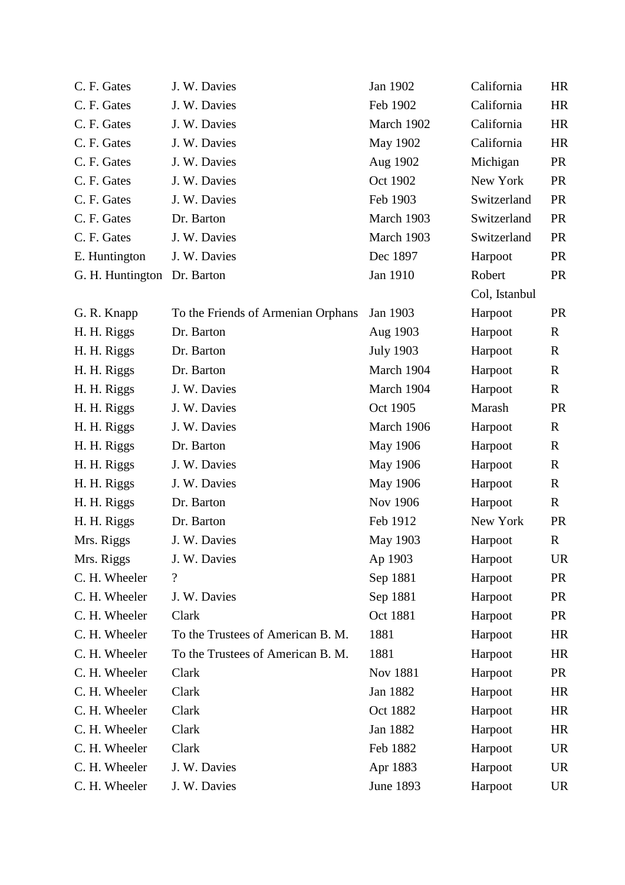| C. F. Gates                 | J. W. Davies                       | Jan 1902         | California    | <b>HR</b>   |
|-----------------------------|------------------------------------|------------------|---------------|-------------|
| C. F. Gates                 | J. W. Davies                       | Feb 1902         | California    | <b>HR</b>   |
| C. F. Gates                 | J. W. Davies                       | March 1902       | California    | <b>HR</b>   |
| C. F. Gates                 | J. W. Davies                       | <b>May 1902</b>  | California    | <b>HR</b>   |
| C. F. Gates                 | J. W. Davies                       | Aug 1902         | Michigan      | <b>PR</b>   |
| C. F. Gates                 | J. W. Davies                       | Oct 1902         | New York      | <b>PR</b>   |
| C. F. Gates                 | J. W. Davies                       | Feb 1903         | Switzerland   | <b>PR</b>   |
| C. F. Gates                 | Dr. Barton                         | March 1903       | Switzerland   | <b>PR</b>   |
| C. F. Gates                 | J. W. Davies                       | March 1903       | Switzerland   | <b>PR</b>   |
| E. Huntington               | J. W. Davies                       | Dec 1897         | Harpoot       | <b>PR</b>   |
| G. H. Huntington Dr. Barton |                                    | Jan 1910         | Robert        | <b>PR</b>   |
|                             |                                    |                  | Col, Istanbul |             |
| G. R. Knapp                 | To the Friends of Armenian Orphans | Jan 1903         | Harpoot       | <b>PR</b>   |
| H. H. Riggs                 | Dr. Barton                         | Aug 1903         | Harpoot       | $\mathbf R$ |
| H. H. Riggs                 | Dr. Barton                         | <b>July 1903</b> | Harpoot       | $\mathbf R$ |
| H. H. Riggs                 | Dr. Barton                         | March 1904       | Harpoot       | $\mathbf R$ |
| H. H. Riggs                 | J. W. Davies                       | March 1904       | Harpoot       | $\mathbf R$ |
| H. H. Riggs                 | J. W. Davies                       | Oct 1905         | Marash        | <b>PR</b>   |
| H. H. Riggs                 | J. W. Davies                       | March 1906       | Harpoot       | $\mathbf R$ |
| H. H. Riggs                 | Dr. Barton                         | May 1906         | Harpoot       | $\mathbf R$ |
| H. H. Riggs                 | J. W. Davies                       | May 1906         | Harpoot       | $\mathbf R$ |
| H. H. Riggs                 | J. W. Davies                       | May 1906         | Harpoot       | $\mathbf R$ |
| H. H. Riggs                 | Dr. Barton                         | Nov 1906         | Harpoot       | $\mathbf R$ |
| H. H. Riggs                 | Dr. Barton                         | Feb 1912         | New York      | <b>PR</b>   |
| Mrs. Riggs                  | J. W. Davies                       | May 1903         | Harpoot       | $\mathbf R$ |
| Mrs. Riggs                  | J. W. Davies                       | Ap 1903          | Harpoot       | <b>UR</b>   |
| C. H. Wheeler               | $\overline{\cdot}$                 | Sep 1881         | Harpoot       | <b>PR</b>   |
| C. H. Wheeler               | J. W. Davies                       | Sep 1881         | Harpoot       | <b>PR</b>   |
| C. H. Wheeler               | Clark                              | Oct 1881         | Harpoot       | <b>PR</b>   |
| C. H. Wheeler               | To the Trustees of American B. M.  | 1881             | Harpoot       | <b>HR</b>   |
| C. H. Wheeler               | To the Trustees of American B. M.  | 1881             | Harpoot       | <b>HR</b>   |
| C. H. Wheeler               | Clark                              | Nov 1881         | Harpoot       | <b>PR</b>   |
| C. H. Wheeler               | Clark                              | Jan 1882         | Harpoot       | HR          |
| C. H. Wheeler               | Clark                              | Oct 1882         | Harpoot       | <b>HR</b>   |
| C. H. Wheeler               | Clark                              | Jan 1882         | Harpoot       | HR          |
| C. H. Wheeler               | Clark                              | Feb 1882         | Harpoot       | <b>UR</b>   |
| C. H. Wheeler               | J. W. Davies                       | Apr 1883         | Harpoot       | <b>UR</b>   |
| C. H. Wheeler               | J. W. Davies                       | <b>June 1893</b> | Harpoot       | UR          |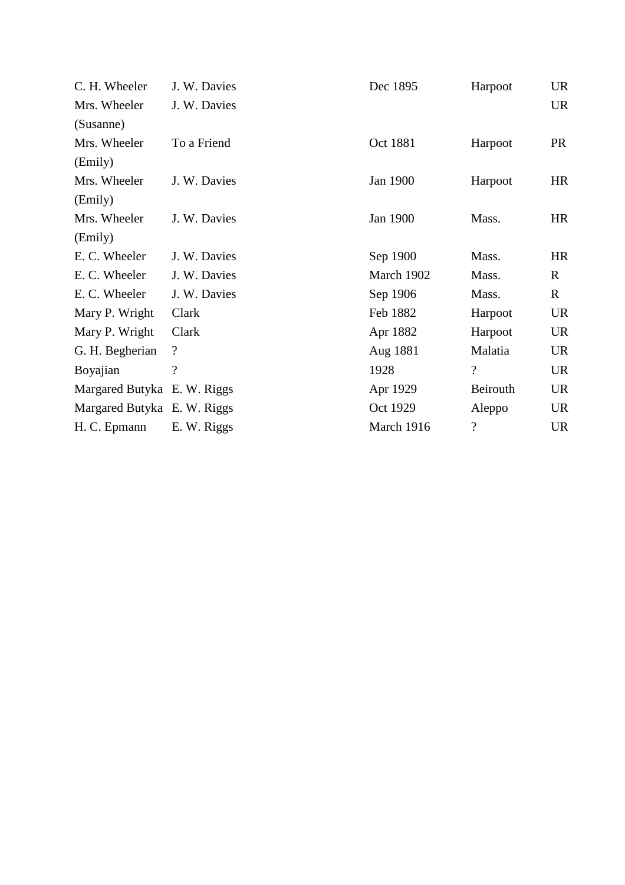| C. H. Wheeler               | J. W. Davies             | Dec 1895   | Harpoot                  | <b>UR</b>    |
|-----------------------------|--------------------------|------------|--------------------------|--------------|
| Mrs. Wheeler                | J. W. Davies             |            |                          | <b>UR</b>    |
| (Susanne)                   |                          |            |                          |              |
| Mrs. Wheeler                | To a Friend              | Oct 1881   | Harpoot                  | <b>PR</b>    |
| (Emily)                     |                          |            |                          |              |
| Mrs. Wheeler                | J. W. Davies             | Jan 1900   | Harpoot                  | <b>HR</b>    |
| (Emily)                     |                          |            |                          |              |
| Mrs. Wheeler                | J. W. Davies             | Jan 1900   | Mass.                    | <b>HR</b>    |
| (Emily)                     |                          |            |                          |              |
| E. C. Wheeler               | J. W. Davies             | Sep 1900   | Mass.                    | <b>HR</b>    |
| E. C. Wheeler               | J. W. Davies             | March 1902 | Mass.                    | $\mathbf{R}$ |
| E. C. Wheeler               | J. W. Davies             | Sep 1906   | Mass.                    | $\mathbf{R}$ |
| Mary P. Wright              | Clark                    | Feb 1882   | Harpoot                  | <b>UR</b>    |
| Mary P. Wright              | Clark                    | Apr 1882   | Harpoot                  | <b>UR</b>    |
| G. H. Begherian             | $\overline{\mathcal{L}}$ | Aug 1881   | Malatia                  | <b>UR</b>    |
| Boyajian                    | $\overline{\mathcal{L}}$ | 1928       | $\overline{?}$           | <b>UR</b>    |
| Margared Butyka E. W. Riggs |                          | Apr 1929   | Beirouth                 | <b>UR</b>    |
| Margared Butyka E. W. Riggs |                          | Oct 1929   | Aleppo                   | <b>UR</b>    |
| H. C. Epmann                | E. W. Riggs              | March 1916 | $\overline{\mathcal{L}}$ | <b>UR</b>    |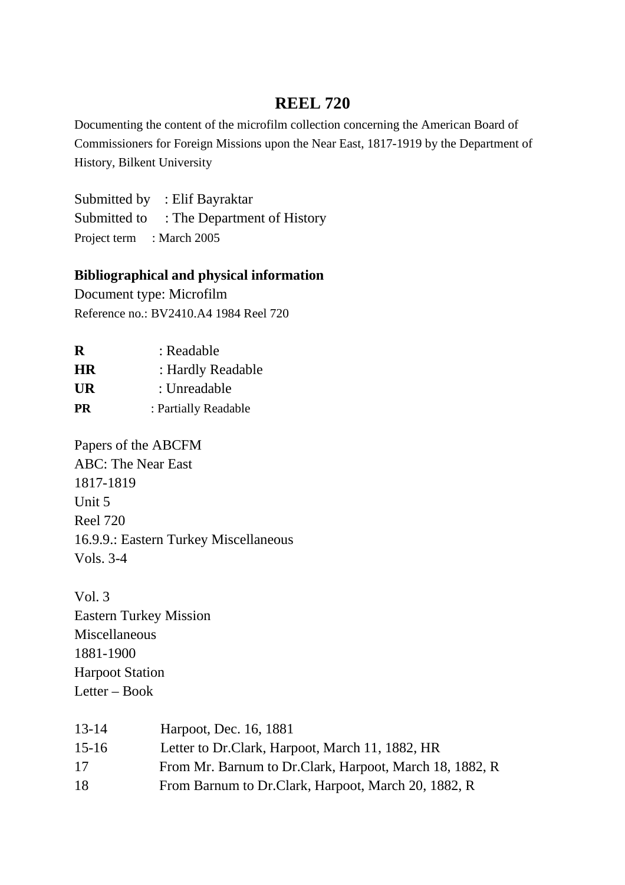## **REEL 720**

Documenting the content of the microfilm collection concerning the American Board of Commissioners for Foreign Missions upon the Near East, 1817-1919 by the Department of History, Bilkent University

Submitted by : Elif Bayraktar Submitted to : The Department of History Project term : March 2005

### **Bibliographical and physical information**

Document type: Microfilm Reference no.: BV2410.A4 1984 Reel 720

| R         | : Readable           |
|-----------|----------------------|
| <b>HR</b> | : Hardly Readable    |
| <b>UR</b> | : Unreadable         |
| <b>PR</b> | : Partially Readable |

Papers of the ABCFM ABC: The Near East 1817-1819 Unit 5 Reel 720 16.9.9.: Eastern Turkey Miscellaneous Vols. 3-4

Vol. 3 Eastern Turkey Mission Miscellaneous 1881-1900 Harpoot Station Letter – Book

| $13 - 14$ | Harpoot, Dec. 16, 1881                                  |
|-----------|---------------------------------------------------------|
| 15-16     | Letter to Dr.Clark, Harpoot, March 11, 1882, HR         |
| 17        | From Mr. Barnum to Dr.Clark, Harpoot, March 18, 1882, R |
| 18        | From Barnum to Dr.Clark, Harpoot, March 20, 1882, R     |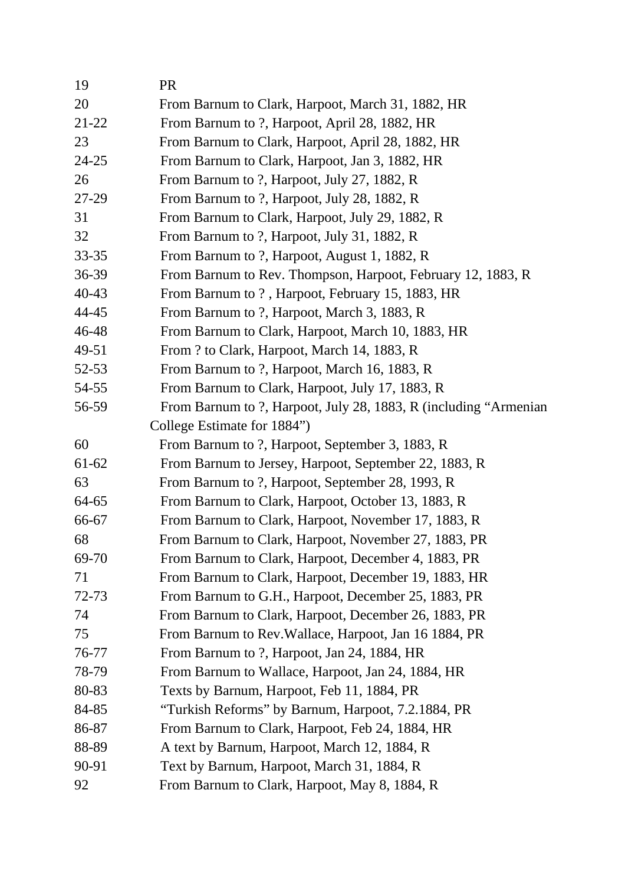| 19        | <b>PR</b>                                                         |
|-----------|-------------------------------------------------------------------|
| 20        | From Barnum to Clark, Harpoot, March 31, 1882, HR                 |
| 21-22     | From Barnum to ?, Harpoot, April 28, 1882, HR                     |
| 23        | From Barnum to Clark, Harpoot, April 28, 1882, HR                 |
| $24 - 25$ | From Barnum to Clark, Harpoot, Jan 3, 1882, HR                    |
| 26        | From Barnum to ?, Harpoot, July 27, 1882, R                       |
| 27-29     | From Barnum to ?, Harpoot, July 28, 1882, R                       |
| 31        | From Barnum to Clark, Harpoot, July 29, 1882, R                   |
| 32        | From Barnum to ?, Harpoot, July 31, 1882, R                       |
| $33 - 35$ | From Barnum to ?, Harpoot, August 1, 1882, R                      |
| 36-39     | From Barnum to Rev. Thompson, Harpoot, February 12, 1883, R       |
| 40-43     | From Barnum to ?, Harpoot, February 15, 1883, HR                  |
| 44-45     | From Barnum to ?, Harpoot, March 3, 1883, R                       |
| 46-48     | From Barnum to Clark, Harpoot, March 10, 1883, HR                 |
| 49-51     | From ? to Clark, Harpoot, March 14, 1883, R                       |
| 52-53     | From Barnum to ?, Harpoot, March 16, 1883, R                      |
| 54-55     | From Barnum to Clark, Harpoot, July 17, 1883, R                   |
| 56-59     | From Barnum to ?, Harpoot, July 28, 1883, R (including "Armenian" |
|           | College Estimate for 1884")                                       |
| 60        | From Barnum to ?, Harpoot, September 3, 1883, R                   |
| 61-62     | From Barnum to Jersey, Harpoot, September 22, 1883, R             |
| 63        | From Barnum to ?, Harpoot, September 28, 1993, R                  |
| 64-65     | From Barnum to Clark, Harpoot, October 13, 1883, R                |
| 66-67     | From Barnum to Clark, Harpoot, November 17, 1883, R               |
| 68        | From Barnum to Clark, Harpoot, November 27, 1883, PR              |
| 69-70     | From Barnum to Clark, Harpoot, December 4, 1883, PR               |
| 71        | From Barnum to Clark, Harpoot, December 19, 1883, HR              |
| 72-73     | From Barnum to G.H., Harpoot, December 25, 1883, PR               |
| 74        | From Barnum to Clark, Harpoot, December 26, 1883, PR              |
| 75        | From Barnum to Rev. Wallace, Harpoot, Jan 16 1884, PR             |
| 76-77     | From Barnum to ?, Harpoot, Jan 24, 1884, HR                       |
| 78-79     | From Barnum to Wallace, Harpoot, Jan 24, 1884, HR                 |
| 80-83     | Texts by Barnum, Harpoot, Feb 11, 1884, PR                        |
| 84-85     | "Turkish Reforms" by Barnum, Harpoot, 7.2.1884, PR                |
| 86-87     | From Barnum to Clark, Harpoot, Feb 24, 1884, HR                   |
| 88-89     | A text by Barnum, Harpoot, March 12, 1884, R                      |
| 90-91     | Text by Barnum, Harpoot, March 31, 1884, R                        |
| 92        | From Barnum to Clark, Harpoot, May 8, 1884, R                     |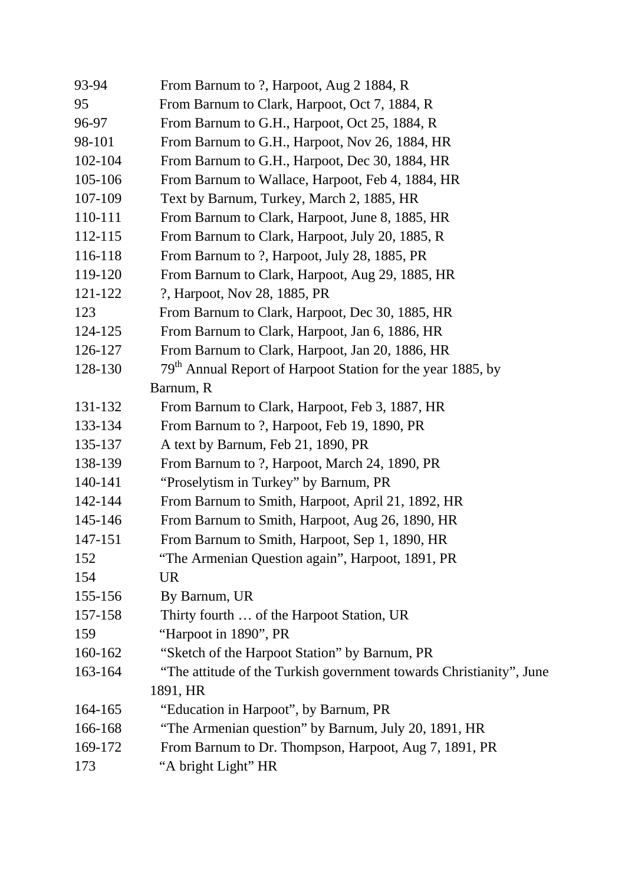| 93-94   | From Barnum to ?, Harpoot, Aug 2 1884, R                                |
|---------|-------------------------------------------------------------------------|
| 95      | From Barnum to Clark, Harpoot, Oct 7, 1884, R                           |
| 96-97   | From Barnum to G.H., Harpoot, Oct 25, 1884, R                           |
| 98-101  | From Barnum to G.H., Harpoot, Nov 26, 1884, HR                          |
| 102-104 | From Barnum to G.H., Harpoot, Dec 30, 1884, HR                          |
| 105-106 | From Barnum to Wallace, Harpoot, Feb 4, 1884, HR                        |
| 107-109 | Text by Barnum, Turkey, March 2, 1885, HR                               |
| 110-111 | From Barnum to Clark, Harpoot, June 8, 1885, HR                         |
| 112-115 | From Barnum to Clark, Harpoot, July 20, 1885, R                         |
| 116-118 | From Barnum to ?, Harpoot, July 28, 1885, PR                            |
| 119-120 | From Barnum to Clark, Harpoot, Aug 29, 1885, HR                         |
| 121-122 | ?, Harpoot, Nov 28, 1885, PR                                            |
| 123     | From Barnum to Clark, Harpoot, Dec 30, 1885, HR                         |
| 124-125 | From Barnum to Clark, Harpoot, Jan 6, 1886, HR                          |
| 126-127 | From Barnum to Clark, Harpoot, Jan 20, 1886, HR                         |
| 128-130 | 79 <sup>th</sup> Annual Report of Harpoot Station for the year 1885, by |
|         | Barnum, R                                                               |
| 131-132 | From Barnum to Clark, Harpoot, Feb 3, 1887, HR                          |
| 133-134 | From Barnum to ?, Harpoot, Feb 19, 1890, PR                             |
| 135-137 | A text by Barnum, Feb 21, 1890, PR                                      |
| 138-139 | From Barnum to ?, Harpoot, March 24, 1890, PR                           |
| 140-141 | "Proselytism in Turkey" by Barnum, PR                                   |
| 142-144 | From Barnum to Smith, Harpoot, April 21, 1892, HR                       |
| 145-146 | From Barnum to Smith, Harpoot, Aug 26, 1890, HR                         |
| 147-151 | From Barnum to Smith, Harpoot, Sep 1, 1890, HR                          |
| 152     | "The Armenian Question again", Harpoot, 1891, PR                        |
| 154     | <b>UR</b>                                                               |
| 155-156 | By Barnum, UR                                                           |
| 157-158 | Thirty fourth  of the Harpoot Station, UR                               |
| 159     | "Harpoot in 1890", PR                                                   |
| 160-162 | "Sketch of the Harpoot Station" by Barnum, PR                           |
| 163-164 | "The attitude of the Turkish government towards Christianity", June     |
|         | 1891, HR                                                                |
| 164-165 | "Education in Harpoot", by Barnum, PR                                   |
| 166-168 | "The Armenian question" by Barnum, July 20, 1891, HR                    |
| 169-172 | From Barnum to Dr. Thompson, Harpoot, Aug 7, 1891, PR                   |
| 173     | "A bright Light" HR                                                     |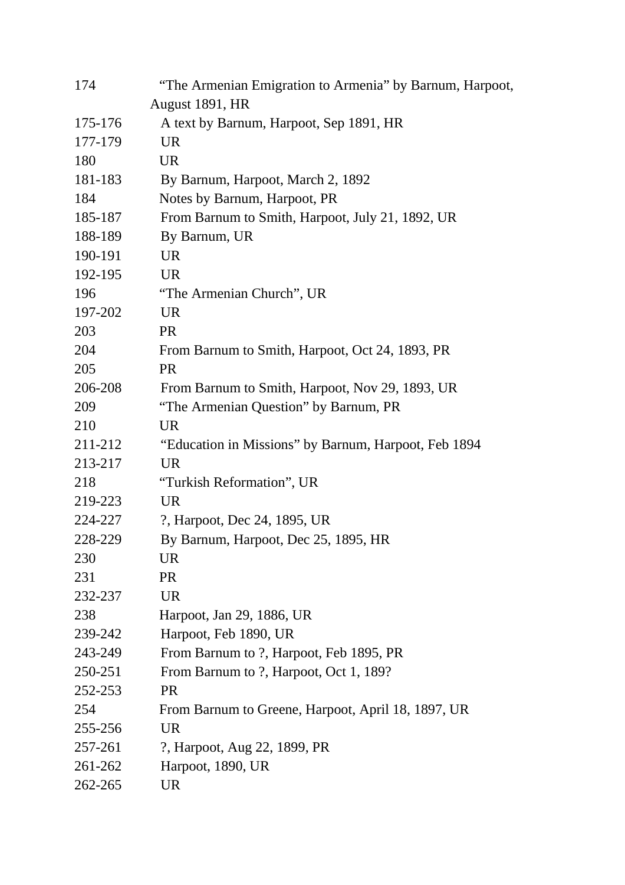| 174     | "The Armenian Emigration to Armenia" by Barnum, Harpoot, |
|---------|----------------------------------------------------------|
|         | August 1891, HR                                          |
| 175-176 | A text by Barnum, Harpoot, Sep 1891, HR                  |
| 177-179 | <b>UR</b>                                                |
| 180     | <b>UR</b>                                                |
| 181-183 | By Barnum, Harpoot, March 2, 1892                        |
| 184     | Notes by Barnum, Harpoot, PR                             |
| 185-187 | From Barnum to Smith, Harpoot, July 21, 1892, UR         |
| 188-189 | By Barnum, UR                                            |
| 190-191 | <b>UR</b>                                                |
| 192-195 | <b>UR</b>                                                |
| 196     | "The Armenian Church", UR                                |
| 197-202 | <b>UR</b>                                                |
| 203     | <b>PR</b>                                                |
| 204     | From Barnum to Smith, Harpoot, Oct 24, 1893, PR          |
| 205     | <b>PR</b>                                                |
| 206-208 | From Barnum to Smith, Harpoot, Nov 29, 1893, UR          |
| 209     | "The Armenian Question" by Barnum, PR                    |
| 210     | <b>UR</b>                                                |
| 211-212 | "Education in Missions" by Barnum, Harpoot, Feb 1894     |
| 213-217 | <b>UR</b>                                                |
| 218     | "Turkish Reformation", UR                                |
| 219-223 | UR.                                                      |
| 224-227 | ?, Harpoot, Dec 24, 1895, UR                             |
| 228-229 | By Barnum, Harpoot, Dec 25, 1895, HR                     |
| 230     | <b>UR</b>                                                |
| 231     | <b>PR</b>                                                |
| 232-237 | <b>UR</b>                                                |
| 238     | Harpoot, Jan 29, 1886, UR                                |
| 239-242 | Harpoot, Feb 1890, UR                                    |
| 243-249 | From Barnum to ?, Harpoot, Feb 1895, PR                  |
| 250-251 | From Barnum to ?, Harpoot, Oct 1, 189?                   |
| 252-253 | <b>PR</b>                                                |
| 254     | From Barnum to Greene, Harpoot, April 18, 1897, UR       |
| 255-256 | <b>UR</b>                                                |
| 257-261 | ?, Harpoot, Aug 22, 1899, PR                             |
| 261-262 | Harpoot, 1890, UR                                        |
| 262-265 | <b>UR</b>                                                |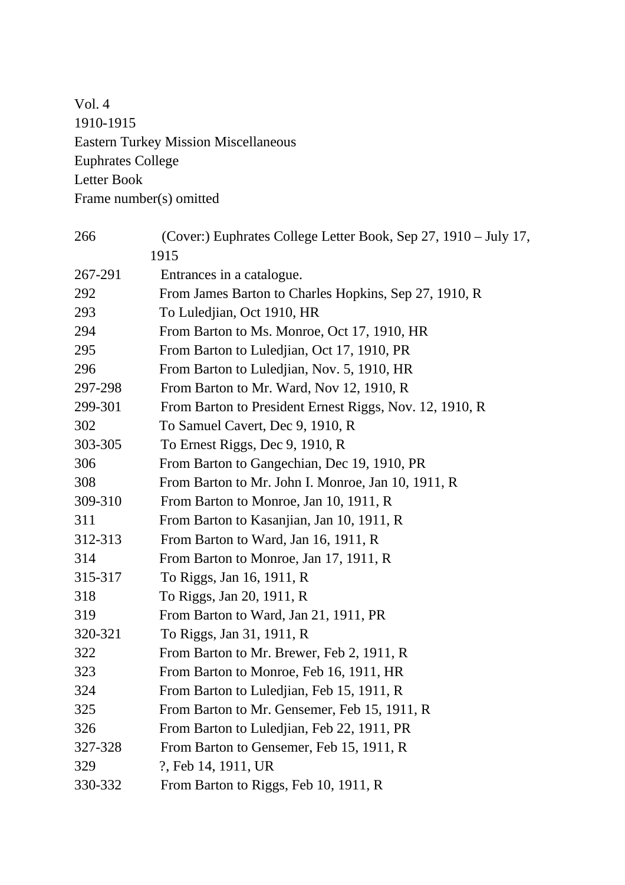Vol. 4 1910-1915 Eastern Turkey Mission Miscellaneous Euphrates College Letter Book Frame number(s) omitted

| 266     | (Cover:) Euphrates College Letter Book, Sep 27, 1910 – July 17, |
|---------|-----------------------------------------------------------------|
|         | 1915                                                            |
| 267-291 | Entrances in a catalogue.                                       |
| 292     | From James Barton to Charles Hopkins, Sep 27, 1910, R           |
| 293     | To Luledjian, Oct 1910, HR                                      |
| 294     | From Barton to Ms. Monroe, Oct 17, 1910, HR                     |
| 295     | From Barton to Luledjian, Oct 17, 1910, PR                      |
| 296     | From Barton to Luledjian, Nov. 5, 1910, HR                      |
| 297-298 | From Barton to Mr. Ward, Nov 12, 1910, R                        |
| 299-301 | From Barton to President Ernest Riggs, Nov. 12, 1910, R         |
| 302     | To Samuel Cavert, Dec 9, 1910, R                                |
| 303-305 | To Ernest Riggs, Dec 9, 1910, R                                 |
| 306     | From Barton to Gangechian, Dec 19, 1910, PR                     |
| 308     | From Barton to Mr. John I. Monroe, Jan 10, 1911, R              |
| 309-310 | From Barton to Monroe, Jan 10, 1911, R                          |
| 311     | From Barton to Kasanjian, Jan 10, 1911, R                       |
| 312-313 | From Barton to Ward, Jan 16, 1911, R                            |
| 314     | From Barton to Monroe, Jan 17, 1911, R                          |
| 315-317 | To Riggs, Jan 16, 1911, R                                       |
| 318     | To Riggs, Jan 20, 1911, R                                       |
| 319     | From Barton to Ward, Jan 21, 1911, PR                           |
| 320-321 | To Riggs, Jan 31, 1911, R                                       |
| 322     | From Barton to Mr. Brewer, Feb 2, 1911, R                       |
| 323     | From Barton to Monroe, Feb 16, 1911, HR                         |
| 324     | From Barton to Luledjian, Feb 15, 1911, R                       |
| 325     | From Barton to Mr. Gensemer, Feb 15, 1911, R                    |
| 326     | From Barton to Luledjian, Feb 22, 1911, PR                      |
| 327-328 | From Barton to Gensemer, Feb 15, 1911, R                        |
| 329     | ?, Feb 14, 1911, UR                                             |
| 330-332 | From Barton to Riggs, Feb 10, 1911, R                           |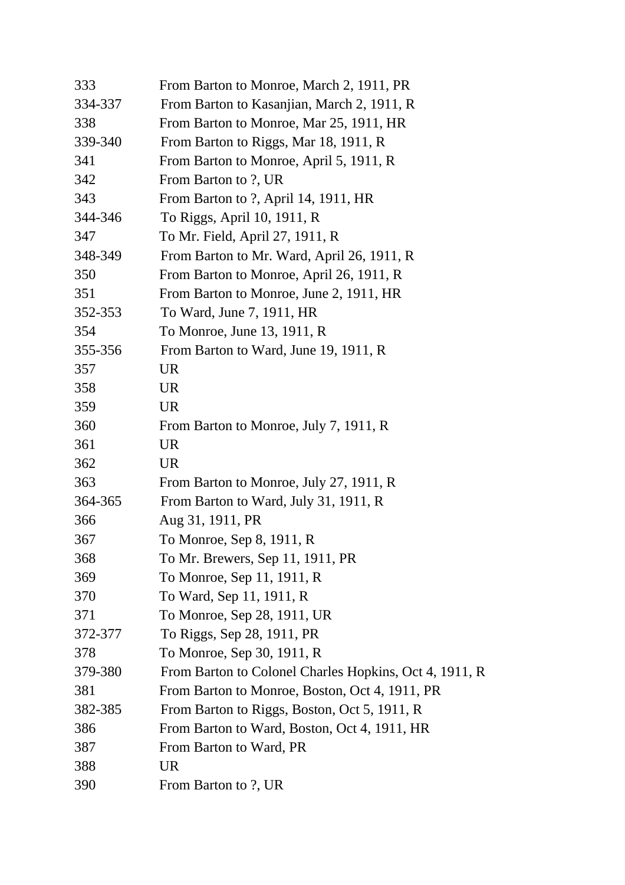| 333     | From Barton to Monroe, March 2, 1911, PR               |
|---------|--------------------------------------------------------|
| 334-337 | From Barton to Kasanjian, March 2, 1911, R             |
| 338     | From Barton to Monroe, Mar 25, 1911, HR                |
| 339-340 | From Barton to Riggs, Mar 18, 1911, R                  |
| 341     | From Barton to Monroe, April 5, 1911, R                |
| 342     | From Barton to ?, UR                                   |
| 343     | From Barton to ?, April 14, 1911, HR                   |
| 344-346 | To Riggs, April 10, 1911, R                            |
| 347     | To Mr. Field, April 27, 1911, R                        |
| 348-349 | From Barton to Mr. Ward, April 26, 1911, R             |
| 350     | From Barton to Monroe, April 26, 1911, R               |
| 351     | From Barton to Monroe, June 2, 1911, HR                |
| 352-353 | To Ward, June 7, 1911, HR                              |
| 354     | To Monroe, June 13, 1911, R                            |
| 355-356 | From Barton to Ward, June 19, 1911, R                  |
| 357     | <b>UR</b>                                              |
| 358     | <b>UR</b>                                              |
| 359     | <b>UR</b>                                              |
| 360     | From Barton to Monroe, July 7, 1911, R                 |
| 361     | <b>UR</b>                                              |
| 362     | <b>UR</b>                                              |
| 363     | From Barton to Monroe, July 27, 1911, R                |
| 364-365 | From Barton to Ward, July 31, 1911, R                  |
| 366     | Aug 31, 1911, PR                                       |
| 367     | To Monroe, Sep 8, 1911, R                              |
| 368     | To Mr. Brewers, Sep 11, 1911, PR                       |
| 369     | To Monroe, Sep 11, 1911, R                             |
| 370     | To Ward, Sep 11, 1911, R                               |
| 371     | To Monroe, Sep 28, 1911, UR                            |
| 372-377 | To Riggs, Sep 28, 1911, PR                             |
| 378     | To Monroe, Sep 30, 1911, R                             |
| 379-380 | From Barton to Colonel Charles Hopkins, Oct 4, 1911, R |
| 381     | From Barton to Monroe, Boston, Oct 4, 1911, PR         |
| 382-385 | From Barton to Riggs, Boston, Oct 5, 1911, R           |
| 386     | From Barton to Ward, Boston, Oct 4, 1911, HR           |
| 387     | From Barton to Ward, PR                                |
| 388     | <b>UR</b>                                              |
| 390     | From Barton to ?, UR                                   |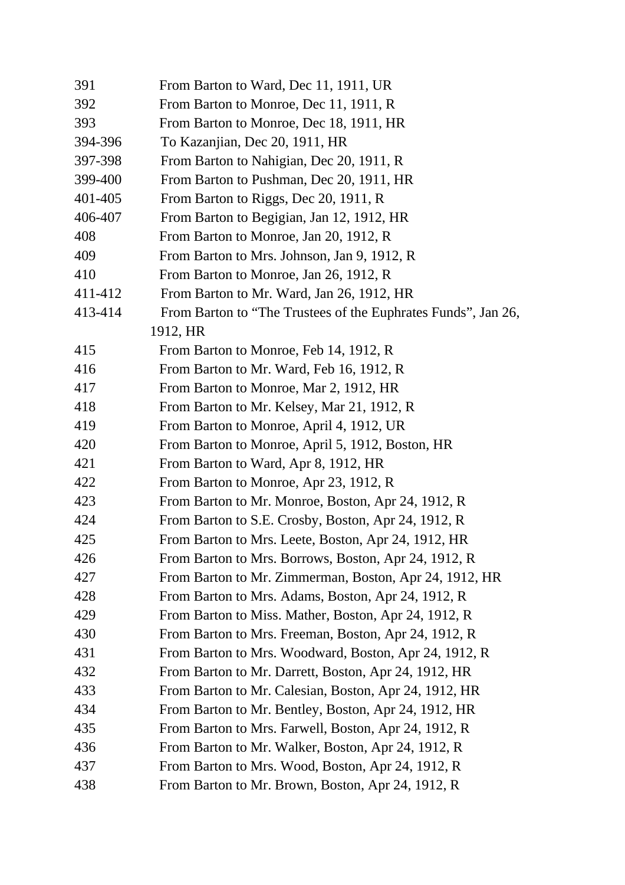| 391     | From Barton to Ward, Dec 11, 1911, UR                         |
|---------|---------------------------------------------------------------|
| 392     | From Barton to Monroe, Dec 11, 1911, R                        |
| 393     | From Barton to Monroe, Dec 18, 1911, HR                       |
| 394-396 | To Kazanjian, Dec 20, 1911, HR                                |
| 397-398 | From Barton to Nahigian, Dec 20, 1911, R                      |
| 399-400 | From Barton to Pushman, Dec 20, 1911, HR                      |
| 401-405 | From Barton to Riggs, Dec 20, 1911, R                         |
| 406-407 | From Barton to Begigian, Jan 12, 1912, HR                     |
| 408     | From Barton to Monroe, Jan 20, 1912, R                        |
| 409     | From Barton to Mrs. Johnson, Jan 9, 1912, R                   |
| 410     | From Barton to Monroe, Jan 26, 1912, R                        |
| 411-412 | From Barton to Mr. Ward, Jan 26, 1912, HR                     |
| 413-414 | From Barton to "The Trustees of the Euphrates Funds", Jan 26, |
|         | 1912, HR                                                      |
| 415     | From Barton to Monroe, Feb 14, 1912, R                        |
| 416     | From Barton to Mr. Ward, Feb 16, 1912, R                      |
| 417     | From Barton to Monroe, Mar 2, 1912, HR                        |
| 418     | From Barton to Mr. Kelsey, Mar 21, 1912, R                    |
| 419     | From Barton to Monroe, April 4, 1912, UR                      |
| 420     | From Barton to Monroe, April 5, 1912, Boston, HR              |
| 421     | From Barton to Ward, Apr 8, 1912, HR                          |
| 422     | From Barton to Monroe, Apr 23, 1912, R                        |
| 423     | From Barton to Mr. Monroe, Boston, Apr 24, 1912, R            |
| 424     | From Barton to S.E. Crosby, Boston, Apr 24, 1912, R           |
| 425     | From Barton to Mrs. Leete, Boston, Apr 24, 1912, HR           |
| 426     | From Barton to Mrs. Borrows, Boston, Apr 24, 1912, R          |
| 427     | From Barton to Mr. Zimmerman, Boston, Apr 24, 1912, HR        |
| 428     | From Barton to Mrs. Adams, Boston, Apr 24, 1912, R            |
| 429     | From Barton to Miss. Mather, Boston, Apr 24, 1912, R          |
| 430     | From Barton to Mrs. Freeman, Boston, Apr 24, 1912, R          |
| 431     | From Barton to Mrs. Woodward, Boston, Apr 24, 1912, R         |
| 432     | From Barton to Mr. Darrett, Boston, Apr 24, 1912, HR          |
| 433     | From Barton to Mr. Calesian, Boston, Apr 24, 1912, HR         |
| 434     | From Barton to Mr. Bentley, Boston, Apr 24, 1912, HR          |
| 435     | From Barton to Mrs. Farwell, Boston, Apr 24, 1912, R          |
| 436     | From Barton to Mr. Walker, Boston, Apr 24, 1912, R            |
| 437     | From Barton to Mrs. Wood, Boston, Apr 24, 1912, R             |
| 438     | From Barton to Mr. Brown, Boston, Apr 24, 1912, R             |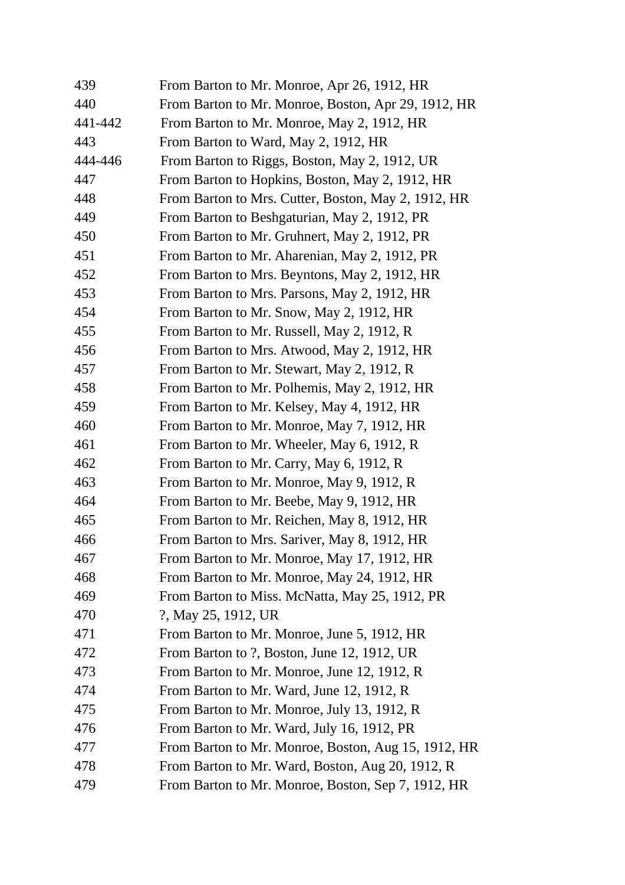| 439     | From Barton to Mr. Monroe, Apr 26, 1912, HR         |
|---------|-----------------------------------------------------|
| 440     | From Barton to Mr. Monroe, Boston, Apr 29, 1912, HR |
| 441-442 | From Barton to Mr. Monroe, May 2, 1912, HR          |
| 443     | From Barton to Ward, May 2, 1912, HR                |
| 444-446 | From Barton to Riggs, Boston, May 2, 1912, UR       |
| 447     | From Barton to Hopkins, Boston, May 2, 1912, HR     |
| 448     | From Barton to Mrs. Cutter, Boston, May 2, 1912, HR |
| 449     | From Barton to Beshgaturian, May 2, 1912, PR        |
| 450     | From Barton to Mr. Gruhnert, May 2, 1912, PR        |
| 451     | From Barton to Mr. Aharenian, May 2, 1912, PR       |
| 452     | From Barton to Mrs. Beyntons, May 2, 1912, HR       |
| 453     | From Barton to Mrs. Parsons, May 2, 1912, HR        |
| 454     | From Barton to Mr. Snow, May 2, 1912, HR            |
| 455     | From Barton to Mr. Russell, May 2, 1912, R          |
| 456     | From Barton to Mrs. Atwood, May 2, 1912, HR         |
| 457     | From Barton to Mr. Stewart, May 2, 1912, R          |
| 458     | From Barton to Mr. Polhemis, May 2, 1912, HR        |
| 459     | From Barton to Mr. Kelsey, May 4, 1912, HR          |
| 460     | From Barton to Mr. Monroe, May 7, 1912, HR          |
| 461     | From Barton to Mr. Wheeler, May 6, 1912, R          |
| 462     | From Barton to Mr. Carry, May 6, 1912, R            |
| 463     | From Barton to Mr. Monroe, May 9, 1912, R           |
| 464     | From Barton to Mr. Beebe, May 9, 1912, HR           |
| 465     | From Barton to Mr. Reichen, May 8, 1912, HR         |
| 466     | From Barton to Mrs. Sariver, May 8, 1912, HR        |
| 467     | From Barton to Mr. Monroe, May 17, 1912, HR         |
| 468     | From Barton to Mr. Monroe, May 24, 1912, HR         |
| 469     | From Barton to Miss. McNatta, May 25, 1912, PR      |
| 470     | ?, May 25, 1912, UR                                 |
| 471     | From Barton to Mr. Monroe, June 5, 1912, HR         |
| 472     | From Barton to ?, Boston, June 12, 1912, UR         |
| 473     | From Barton to Mr. Monroe, June 12, 1912, R         |
| 474     | From Barton to Mr. Ward, June 12, 1912, R           |
| 475     | From Barton to Mr. Monroe, July 13, 1912, R         |
| 476     | From Barton to Mr. Ward, July 16, 1912, PR          |
| 477     | From Barton to Mr. Monroe, Boston, Aug 15, 1912, HR |
| 478     | From Barton to Mr. Ward, Boston, Aug 20, 1912, R    |
| 479     | From Barton to Mr. Monroe, Boston, Sep 7, 1912, HR  |
|         |                                                     |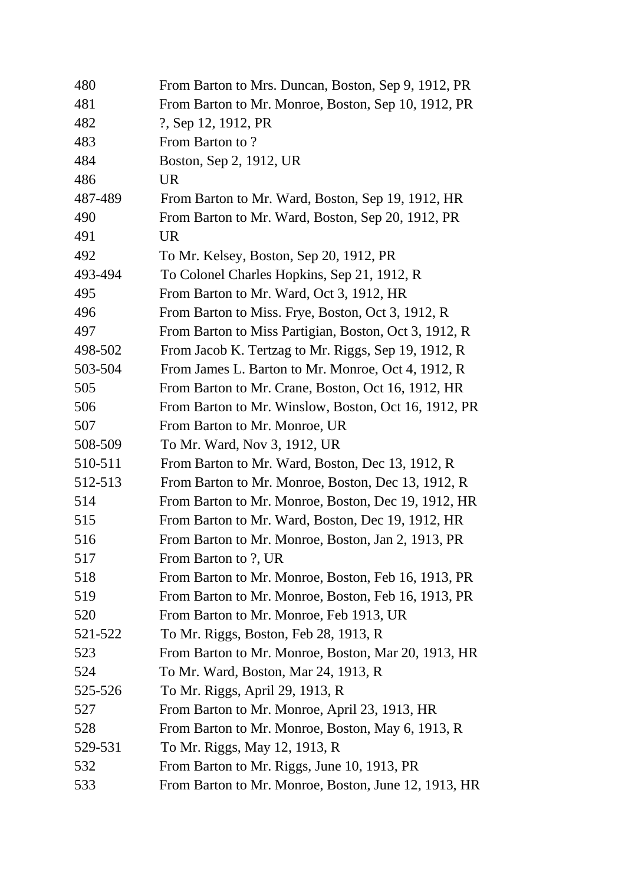| 480     | From Barton to Mrs. Duncan, Boston, Sep 9, 1912, PR   |
|---------|-------------------------------------------------------|
| 481     | From Barton to Mr. Monroe, Boston, Sep 10, 1912, PR   |
| 482     | ?, Sep 12, 1912, PR                                   |
| 483     | From Barton to?                                       |
| 484     | Boston, Sep 2, 1912, UR                               |
| 486     | <b>UR</b>                                             |
| 487-489 | From Barton to Mr. Ward, Boston, Sep 19, 1912, HR     |
| 490     | From Barton to Mr. Ward, Boston, Sep 20, 1912, PR     |
| 491     | <b>UR</b>                                             |
| 492     | To Mr. Kelsey, Boston, Sep 20, 1912, PR               |
| 493-494 | To Colonel Charles Hopkins, Sep 21, 1912, R           |
| 495     | From Barton to Mr. Ward, Oct 3, 1912, HR              |
| 496     | From Barton to Miss. Frye, Boston, Oct 3, 1912, R     |
| 497     | From Barton to Miss Partigian, Boston, Oct 3, 1912, R |
| 498-502 | From Jacob K. Tertzag to Mr. Riggs, Sep 19, 1912, R   |
| 503-504 | From James L. Barton to Mr. Monroe, Oct 4, 1912, R    |
| 505     | From Barton to Mr. Crane, Boston, Oct 16, 1912, HR    |
| 506     | From Barton to Mr. Winslow, Boston, Oct 16, 1912, PR  |
| 507     | From Barton to Mr. Monroe, UR                         |
| 508-509 | To Mr. Ward, Nov 3, 1912, UR                          |
| 510-511 | From Barton to Mr. Ward, Boston, Dec 13, 1912, R      |
| 512-513 | From Barton to Mr. Monroe, Boston, Dec 13, 1912, R    |
| 514     | From Barton to Mr. Monroe, Boston, Dec 19, 1912, HR   |
| 515     | From Barton to Mr. Ward, Boston, Dec 19, 1912, HR     |
| 516     | From Barton to Mr. Monroe, Boston, Jan 2, 1913, PR    |
| 517     | From Barton to ?, UR                                  |
| 518     | From Barton to Mr. Monroe, Boston, Feb 16, 1913, PR   |
| 519     | From Barton to Mr. Monroe, Boston, Feb 16, 1913, PR   |
| 520     | From Barton to Mr. Monroe, Feb 1913, UR               |
| 521-522 | To Mr. Riggs, Boston, Feb 28, 1913, R                 |
| 523     | From Barton to Mr. Monroe, Boston, Mar 20, 1913, HR   |
| 524     | To Mr. Ward, Boston, Mar 24, 1913, R                  |
| 525-526 | To Mr. Riggs, April 29, 1913, R                       |
| 527     | From Barton to Mr. Monroe, April 23, 1913, HR         |
| 528     | From Barton to Mr. Monroe, Boston, May 6, 1913, R     |
| 529-531 | To Mr. Riggs, May 12, 1913, R                         |
| 532     | From Barton to Mr. Riggs, June 10, 1913, PR           |
| 533     | From Barton to Mr. Monroe, Boston, June 12, 1913, HR  |